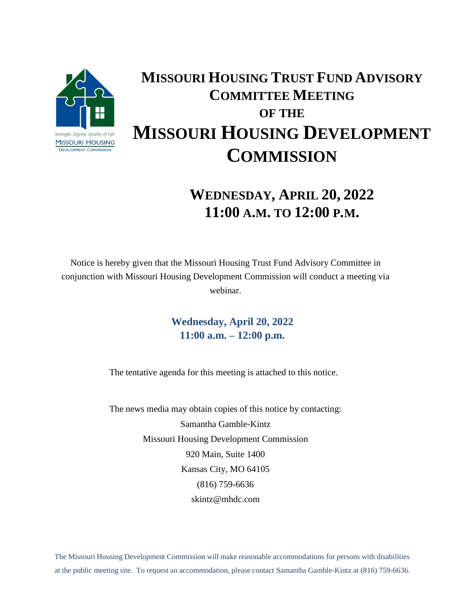

## **MISSOURI HOUSING TRUST FUND ADVISORY COMMITTEE MEETING OF THE MISSOURI HOUSING DEVELOPMENT COMMISSION**

## **WEDNESDAY, APRIL 20, 2022 11:00 A.M. TO 12:00 P.M.**

Notice is hereby given that the Missouri Housing Trust Fund Advisory Committee in conjunction with Missouri Housing Development Commission will conduct a meeting via webinar.

> **Wednesday, April 20, 2022 11:00 a.m. – 12:00 p.m.**

The tentative agenda for this meeting is attached to this notice.

The news media may obtain copies of this notice by contacting: Samantha Gamble-Kintz Missouri Housing Development Commission 920 Main, Suite 1400 Kansas City, MO 64105 (816) 759-6636 skintz@mhdc.com

The Missouri Housing Development Commission will make reasonable accommodations for persons with disabilities at the public meeting site. To request an accommodation, please contact Samantha Gamble-Kintz at (816) 759-6636.